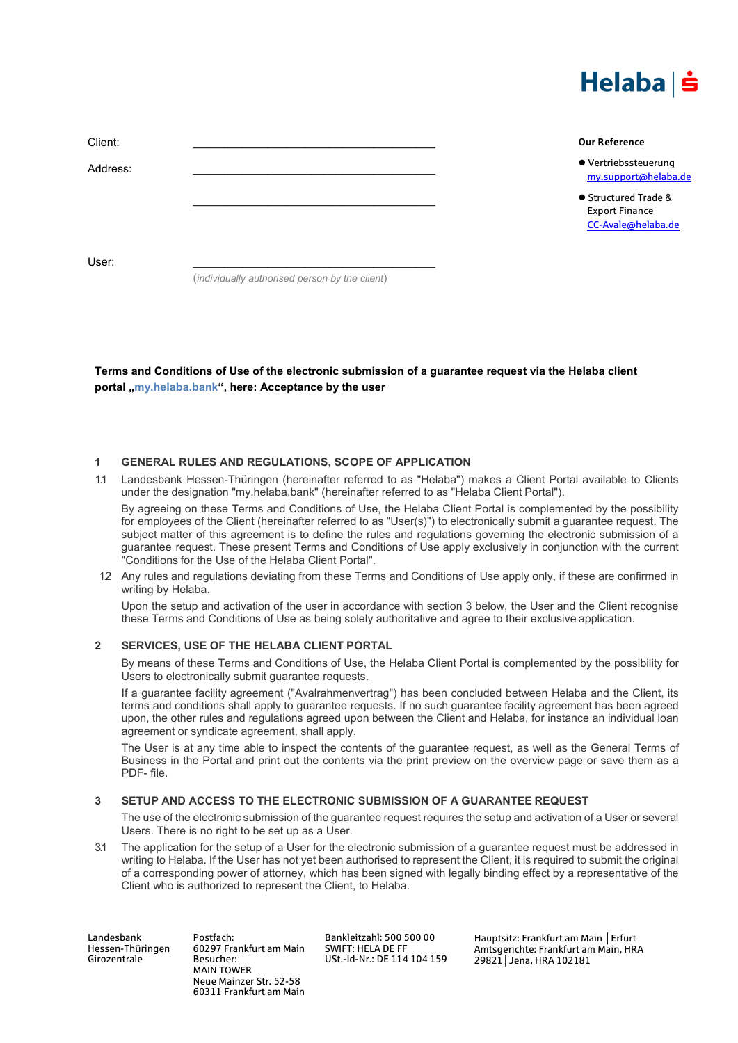

| Client:  | <b>Our Reference</b>                                                |
|----------|---------------------------------------------------------------------|
| Address: | ● Vertriebssteuerung<br>my.support@helaba.de                        |
|          | ● Structured Trade &<br><b>Export Finance</b><br>CC-Avale@helaba.de |
| User:    |                                                                     |

(*individually authorised person by the client*)

**Terms and Conditions of Use of the electronic submission of a guarantee request via the Helaba client** portal , my.helaba.bank", here: Acceptance by the user

### **1 GENERAL RULES AND REGULATIONS, SCOPE OF APPLICATION**

1.1 Landesbank Hessen-Thüringen (hereinafter referred to as "Helaba") makes a Client Portal available to Clients under the designation "my.helaba.bank" (hereinafter referred to as "Helaba Client Portal").

By agreeing on these Terms and Conditions of Use, the Helaba Client Portal is complemented by the possibility for employees of the Client (hereinafter referred to as "User(s)") to electronically submit a guarantee request. The subject matter of this agreement is to define the rules and regulations governing the electronic submission of a guarantee request. These present Terms and Conditions of Use apply exclusively in conjunction with the current "Conditions for the Use of the Helaba Client Portal".

12 Any rules and regulations deviating from these Terms and Conditions of Use apply only, if these are confirmed in writing by Helaba.

Upon the setup and activation of the user in accordance with section 3 below, the User and the Client recognise these Terms and Conditions of Use as being solely authoritative and agree to their exclusive application.

## **2 SERVICES, USE OF THE HELABA CLIENT PORTAL**

By means of these Terms and Conditions of Use, the Helaba Client Portal is complemented by the possibility for Users to electronically submit guarantee requests.

If a guarantee facility agreement ("Avalrahmenvertrag") has been concluded between Helaba and the Client, its terms and conditions shall apply to guarantee requests. If no such guarantee facility agreement has been agreed upon, the other rules and regulations agreed upon between the Client and Helaba, for instance an individual loan agreement or syndicate agreement, shall apply.

The User is at any time able to inspect the contents of the guarantee request, as well as the General Terms of Business in the Portal and print out the contents via the print preview on the overview page or save them as a PDF- file.

## **3 SETUP AND ACCESS TO THE ELECTRONIC SUBMISSION OF A GUARANTEE REQUEST**

The use of the electronic submission of the guarantee request requires the setup and activation of a User or several Users. There is no right to be set up as a User.

3.1 The application for the setup of a User for the electronic submission of a guarantee request must be addressed in writing to Helaba. If the User has not yet been authorised to represent the Client, it is required to submit the original of a corresponding power of attorney, which has been signed with legally binding effect by a representative of the Client who is authorized to represent the Client, to Helaba.

Landesbank Hessen-Thüringen Girozentrale

Postfach: 60297 Frankfurt am Main Besucher: MAIN TOWER Neue Mainzer Str. 52-58 60311 Frankfurt am Main Bankleitzahl: 500 500 00 SWIFT: HELA DE FF USt.-Id-Nr.: DE 114 104 159 Hauptsitz: Frankfurt am Main │Erfurt Amtsgerichte: Frankfurt am Main, HRA 29821│Jena, HRA 102181